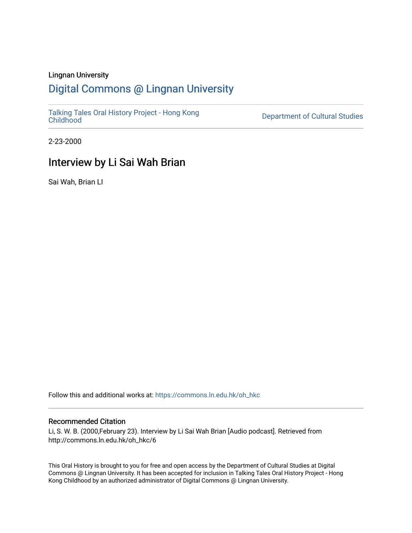## Lingnan University

## [Digital Commons @ Lingnan University](https://commons.ln.edu.hk/)

[Talking Tales Oral History Project - Hong Kong](https://commons.ln.edu.hk/oh_hkc)

Department of Cultural Studies

2-23-2000

## Interview by Li Sai Wah Brian

Sai Wah, Brian LI

Follow this and additional works at: [https://commons.ln.edu.hk/oh\\_hkc](https://commons.ln.edu.hk/oh_hkc?utm_source=commons.ln.edu.hk%2Foh_hkc%2F6&utm_medium=PDF&utm_campaign=PDFCoverPages) 

## Recommended Citation

Li, S. W. B. (2000,February 23). Interview by Li Sai Wah Brian [Audio podcast]. Retrieved from http://commons.ln.edu.hk/oh\_hkc/6

This Oral History is brought to you for free and open access by the Department of Cultural Studies at Digital Commons @ Lingnan University. It has been accepted for inclusion in Talking Tales Oral History Project - Hong Kong Childhood by an authorized administrator of Digital Commons @ Lingnan University.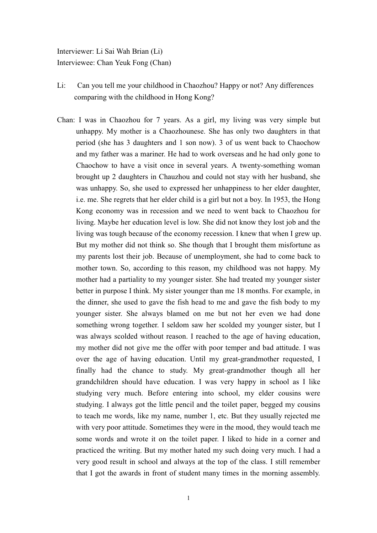Interviewer: Li Sai Wah Brian (Li) Interviewee: Chan Yeuk Fong (Chan)

- Li: Can you tell me your childhood in Chaozhou? Happy or not? Any differences comparing with the childhood in Hong Kong?
- Chan: I was in Chaozhou for 7 years. As a girl, my living was very simple but unhappy. My mother is a Chaozhounese. She has only two daughters in that period (she has 3 daughters and 1 son now). 3 of us went back to Chaochow and my father was a mariner. He had to work overseas and he had only gone to Chaochow to have a visit once in several years. A twenty-something woman brought up 2 daughters in Chauzhou and could not stay with her husband, she was unhappy. So, she used to expressed her unhappiness to her elder daughter, i.e. me. She regrets that her elder child is a girl but not a boy. In 1953, the Hong Kong economy was in recession and we need to went back to Chaozhou for living. Maybe her education level is low. She did not know they lost job and the living was tough because of the economy recession. I knew that when I grew up. But my mother did not think so. She though that I brought them misfortune as my parents lost their job. Because of unemployment, she had to come back to mother town. So, according to this reason, my childhood was not happy. My mother had a partiality to my younger sister. She had treated my younger sister better in purpose I think. My sister younger than me 18 months. For example, in the dinner, she used to gave the fish head to me and gave the fish body to my younger sister. She always blamed on me but not her even we had done something wrong together. I seldom saw her scolded my younger sister, but I was always scolded without reason. I reached to the age of having education, my mother did not give me the offer with poor temper and bad attitude. I was over the age of having education. Until my great-grandmother requested, I finally had the chance to study. My great-grandmother though all her grandchildren should have education. I was very happy in school as I like studying very much. Before entering into school, my elder cousins were studying. I always got the little pencil and the toilet paper, begged my cousins to teach me words, like my name, number 1, etc. But they usually rejected me with very poor attitude. Sometimes they were in the mood, they would teach me some words and wrote it on the toilet paper. I liked to hide in a corner and practiced the writing. But my mother hated my such doing very much. I had a very good result in school and always at the top of the class. I still remember that I got the awards in front of student many times in the morning assembly.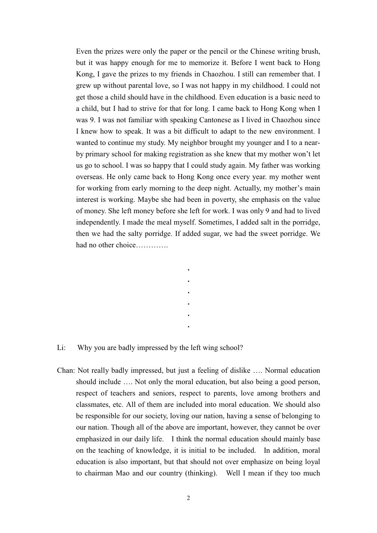Even the prizes were only the paper or the pencil or the Chinese writing brush, but it was happy enough for me to memorize it. Before I went back to Hong Kong, I gave the prizes to my friends in Chaozhou. I still can remember that. I grew up without parental love, so I was not happy in my childhood. I could not get those a child should have in the childhood. Even education is a basic need to a child, but I had to strive for that for long. I came back to Hong Kong when I was 9. I was not familiar with speaking Cantonese as I lived in Chaozhou since I knew how to speak. It was a bit difficult to adapt to the new environment. I wanted to continue my study. My neighbor brought my younger and I to a nearby primary school for making registration as she knew that my mother won't let us go to school. I was so happy that I could study again. My father was working overseas. He only came back to Hong Kong once every year, my mother went for working from early morning to the deep night. Actually, my mother's main interest is working. Maybe she had been in poverty, she emphasis on the value of money. She left money before she left for work. I was only 9 and had to lived independently. I made the meal myself. Sometimes, I added salt in the porridge, then we had the salty porridge. If added sugar, we had the sweet porridge. We had no other choice............

Li: Why you are badly impressed by the left wing school?

Chan: Not really badly impressed, but just a feeling of dislike .... Normal education should include .... Not only the moral education, but also being a good person, respect of teachers and seniors, respect to parents, love among brothers and classmates, etc. All of them are included into moral education. We should also be responsible for our society, loving our nation, having a sense of belonging to our nation. Though all of the above are important, however, they cannot be over emphasized in our daily life. I think the normal education should mainly base on the teaching of knowledge, it is initial to be included. In addition, moral education is also important, but that should not over emphasize on being loval to chairman Mao and our country (thinking). Well I mean if they too much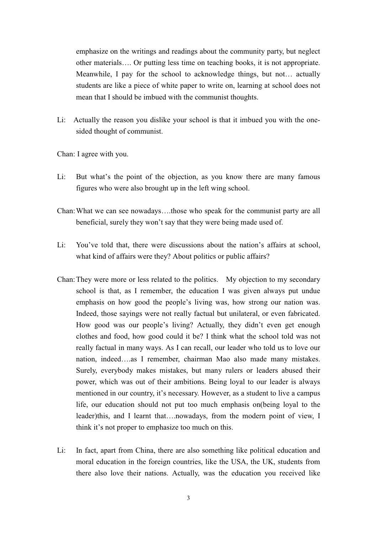emphasize on the writings and readings about the community party, but neglect other materials.... Or putting less time on teaching books, it is not appropriate. Meanwhile, I pay for the school to acknowledge things, but not... actually students are like a piece of white paper to write on, learning at school does not mean that I should be imbued with the communist thoughts.

Actually the reason you dislike your school is that it imbued you with the one-Li: sided thought of communist.

Chan: I agree with you.

- Li: But what's the point of the objection, as you know there are many famous figures who were also brought up in the left wing school.
- Chan: What we can see nowadays....those who speak for the communist party are all beneficial, surely they won't say that they were being made used of.
- Li: You've told that, there were discussions about the nation's affairs at school, what kind of affairs were they? About politics or public affairs?
- Chan: They were more or less related to the politics. My objection to my secondary school is that, as I remember, the education I was given always put undue emphasis on how good the people's living was, how strong our nation was. Indeed, those sayings were not really factual but unilateral, or even fabricated. How good was our people's living? Actually, they didn't even get enough clothes and food, how good could it be? I think what the school told was not really factual in many ways. As I can recall, our leader who told us to love our nation, indeed....as I remember, chairman Mao also made many mistakes. Surely, everybody makes mistakes, but many rulers or leaders abused their power, which was out of their ambitions. Being loyal to our leader is always mentioned in our country, it's necessary. However, as a student to live a campus life, our education should not put too much emphasis on being loyal to the leader)this, and I learnt that....nowadays, from the modern point of view, I think it's not proper to emphasize too much on this.
- Li: In fact, apart from China, there are also something like political education and moral education in the foreign countries, like the USA, the UK, students from there also love their nations. Actually, was the education you received like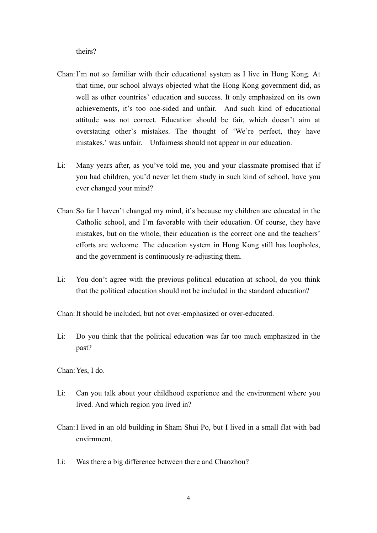theirs?

- Chan: I'm not so familiar with their educational system as I live in Hong Kong. At that time, our school always objected what the Hong Kong government did, as well as other countries' education and success. It only emphasized on its own achievements, it's too one-sided and unfair. And such kind of educational attitude was not correct. Education should be fair, which doesn't aim at overstating other's mistakes. The thought of 'We're perfect, they have mistakes.' was unfair. Unfairness should not appear in our education.
- Li: Many years after, as you've told me, you and your classmate promised that if you had children, you'd never let them study in such kind of school, have you ever changed your mind?
- Chan: So far I haven't changed my mind, it's because my children are educated in the Catholic school, and I'm favorable with their education. Of course, they have mistakes, but on the whole, their education is the correct one and the teachers' efforts are welcome. The education system in Hong Kong still has loopholes, and the government is continuously re-adjusting them.
- Li: You don't agree with the previous political education at school, do you think that the political education should not be included in the standard education?

Chan: It should be included, but not over-emphasized or over-educated.

Li: Do you think that the political education was far too much emphasized in the past?

Chan: Yes, I do.

- Li: Can you talk about your childhood experience and the environment where you lived. And which region you lived in?
- Chan: I lived in an old building in Sham Shui Po, but I lived in a small flat with bad envirnment.
- Li: Was there a big difference between there and Chaozhou?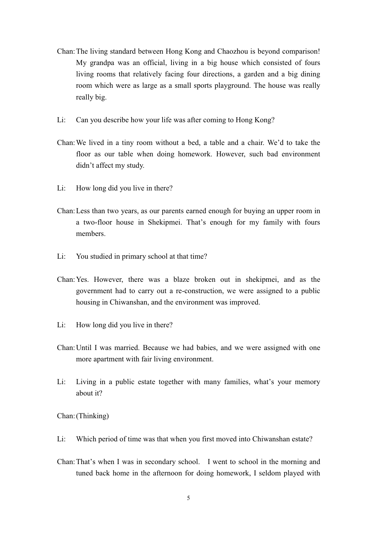- Chan: The living standard between Hong Kong and Chaozhou is beyond comparison! My grandpa was an official, living in a big house which consisted of fours living rooms that relatively facing four directions, a garden and a big dining room which were as large as a small sports playground. The house was really really big.
- Li: Can you describe how your life was after coming to Hong Kong?
- Chan: We lived in a tiny room without a bed, a table and a chair. We'd to take the floor as our table when doing homework. However, such bad environment didn't affect my study.
- Li: How long did you live in there?
- Chan: Less than two years, as our parents earned enough for buying an upper room in a two-floor house in Shekipmei. That's enough for my family with fours members.
- Li: You studied in primary school at that time?
- Chan: Yes. However, there was a blaze broken out in shekipmei, and as the government had to carry out a re-construction, we were assigned to a public housing in Chiwanshan, and the environment was improved.
- Li: How long did you live in there?
- Chan: Until I was married. Because we had babies, and we were assigned with one more apartment with fair living environment.
- $Li:$ Living in a public estate together with many families, what's your memory about it?

Chan: (Thinking)

- Li: Which period of time was that when you first moved into Chiwanshan estate?
- Chan: That's when I was in secondary school. I went to school in the morning and tuned back home in the afternoon for doing homework, I seldom played with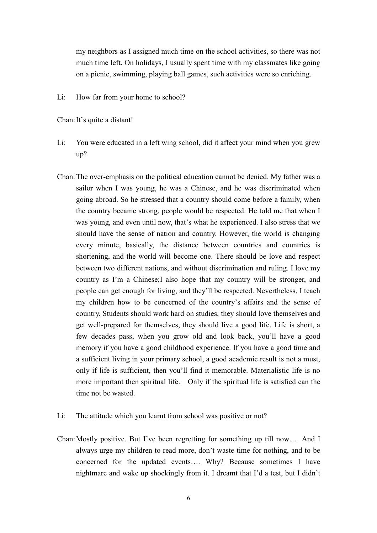my neighbors as I assigned much time on the school activities, so there was not much time left. On holidays, I usually spent time with my classmates like going on a picnic, swimming, playing ball games, such activities were so enriching.

Li: How far from your home to school?

Chan: It's quite a distant!

- You were educated in a left wing school, did it affect your mind when you grew Li:  $up?$
- Chan: The over-emphasis on the political education cannot be denied. My father was a sailor when I was young, he was a Chinese, and he was discriminated when going abroad. So he stressed that a country should come before a family, when the country became strong, people would be respected. He told me that when I was young, and even until now, that's what he experienced. I also stress that we should have the sense of nation and country. However, the world is changing every minute, basically, the distance between countries and countries is shortening, and the world will become one. There should be love and respect between two different nations, and without discrimination and ruling. I love my country as I'm a Chinese; I also hope that my country will be stronger, and people can get enough for living, and they'll be respected. Nevertheless, I teach my children how to be concerned of the country's affairs and the sense of country. Students should work hard on studies, they should love themselves and get well-prepared for themselves, they should live a good life. Life is short, a few decades pass, when you grow old and look back, you'll have a good memory if you have a good childhood experience. If you have a good time and a sufficient living in your primary school, a good academic result is not a must, only if life is sufficient, then you'll find it memorable. Materialistic life is no more important then spiritual life. Only if the spiritual life is satisfied can the time not be wasted
- Li: The attitude which you learnt from school was positive or not?
- Chan: Mostly positive. But I've been regretting for something up till now.... And I always urge my children to read more, don't waste time for nothing, and to be concerned for the updated events.... Why? Because sometimes I have nightmare and wake up shockingly from it. I dreamt that I'd a test, but I didn't